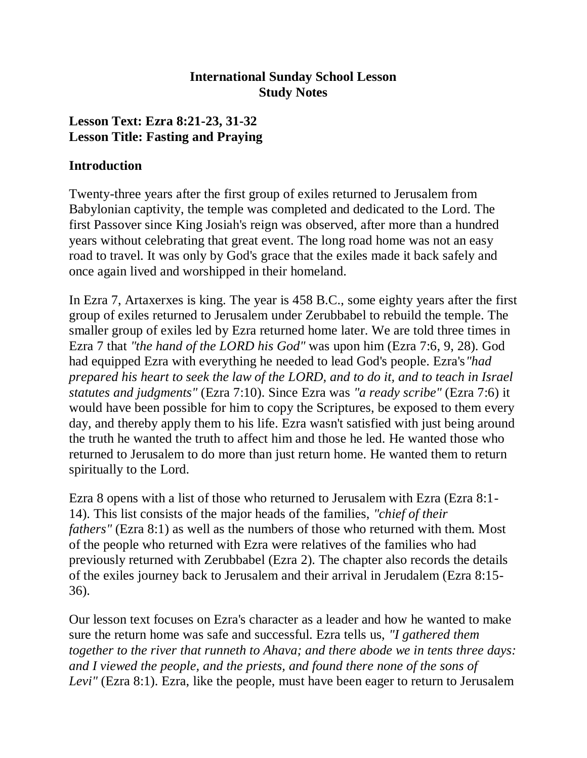#### **International Sunday School Lesson Study Notes**

#### **Lesson Text: Ezra 8:21-23, 31-32 Lesson Title: Fasting and Praying**

#### **Introduction**

Twenty-three years after the first group of exiles returned to Jerusalem from Babylonian captivity, the temple was completed and dedicated to the Lord. The first Passover since King Josiah's reign was observed, after more than a hundred years without celebrating that great event. The long road home was not an easy road to travel. It was only by God's grace that the exiles made it back safely and once again lived and worshipped in their homeland.

In Ezra 7, Artaxerxes is king. The year is 458 B.C., some eighty years after the first group of exiles returned to Jerusalem under Zerubbabel to rebuild the temple. The smaller group of exiles led by Ezra returned home later. We are told three times in Ezra 7 that *"the hand of the LORD his God"* was upon him (Ezra 7:6, 9, 28). God had equipped Ezra with everything he needed to lead God's people. Ezra's*"had prepared his heart to seek the law of the LORD, and to do it, and to teach in Israel statutes and judgments"* (Ezra 7:10). Since Ezra was *"a ready scribe"* (Ezra 7:6) it would have been possible for him to copy the Scriptures, be exposed to them every day, and thereby apply them to his life. Ezra wasn't satisfied with just being around the truth he wanted the truth to affect him and those he led. He wanted those who returned to Jerusalem to do more than just return home. He wanted them to return spiritually to the Lord.

Ezra 8 opens with a list of those who returned to Jerusalem with Ezra (Ezra 8:1- 14). This list consists of the major heads of the families, *"chief of their fathers"* (Ezra 8:1) as well as the numbers of those who returned with them. Most of the people who returned with Ezra were relatives of the families who had previously returned with Zerubbabel (Ezra 2). The chapter also records the details of the exiles journey back to Jerusalem and their arrival in Jerudalem (Ezra 8:15- 36).

Our lesson text focuses on Ezra's character as a leader and how he wanted to make sure the return home was safe and successful. Ezra tells us, *"I gathered them together to the river that runneth to Ahava; and there abode we in tents three days: and I viewed the people, and the priests, and found there none of the sons of Levi"* (Ezra 8:1). Ezra, like the people, must have been eager to return to Jerusalem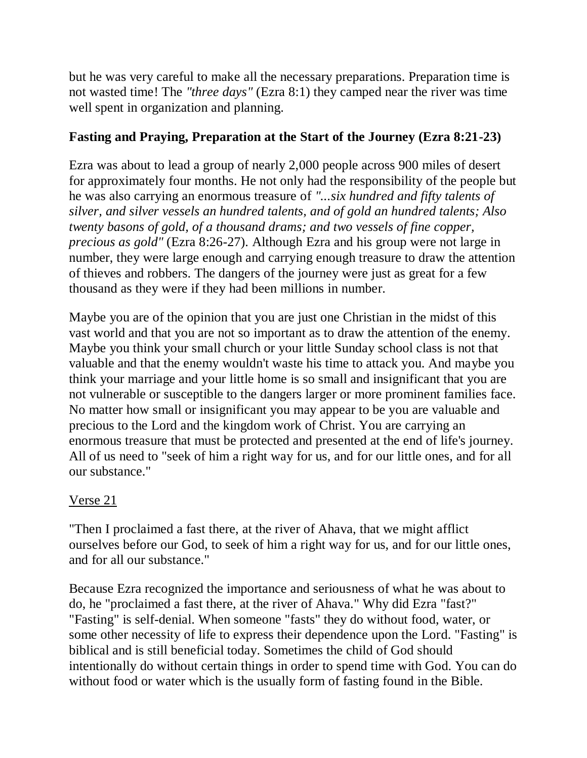but he was very careful to make all the necessary preparations. Preparation time is not wasted time! The *"three days"* (Ezra 8:1) they camped near the river was time well spent in organization and planning.

# **Fasting and Praying, Preparation at the Start of the Journey (Ezra 8:21-23)**

Ezra was about to lead a group of nearly 2,000 people across 900 miles of desert for approximately four months. He not only had the responsibility of the people but he was also carrying an enormous treasure of *"...six hundred and fifty talents of silver, and silver vessels an hundred talents, and of gold an hundred talents; Also twenty basons of gold, of a thousand drams; and two vessels of fine copper, precious as gold"* (Ezra 8:26-27). Although Ezra and his group were not large in number, they were large enough and carrying enough treasure to draw the attention of thieves and robbers. The dangers of the journey were just as great for a few thousand as they were if they had been millions in number.

Maybe you are of the opinion that you are just one Christian in the midst of this vast world and that you are not so important as to draw the attention of the enemy. Maybe you think your small church or your little Sunday school class is not that valuable and that the enemy wouldn't waste his time to attack you. And maybe you think your marriage and your little home is so small and insignificant that you are not vulnerable or susceptible to the dangers larger or more prominent families face. No matter how small or insignificant you may appear to be you are valuable and precious to the Lord and the kingdom work of Christ. You are carrying an enormous treasure that must be protected and presented at the end of life's journey. All of us need to "seek of him a right way for us, and for our little ones, and for all our substance."

## Verse 21

"Then I proclaimed a fast there, at the river of Ahava, that we might afflict ourselves before our God, to seek of him a right way for us, and for our little ones, and for all our substance."

Because Ezra recognized the importance and seriousness of what he was about to do, he "proclaimed a fast there, at the river of Ahava." Why did Ezra "fast?" "Fasting" is self-denial. When someone "fasts" they do without food, water, or some other necessity of life to express their dependence upon the Lord. "Fasting" is biblical and is still beneficial today. Sometimes the child of God should intentionally do without certain things in order to spend time with God. You can do without food or water which is the usually form of fasting found in the Bible.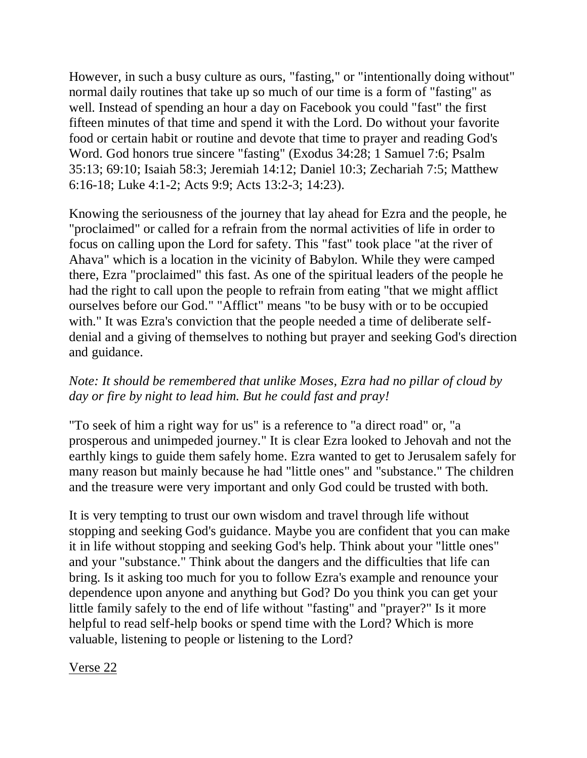However, in such a busy culture as ours, "fasting," or "intentionally doing without" normal daily routines that take up so much of our time is a form of "fasting" as well. Instead of spending an hour a day on Facebook you could "fast" the first fifteen minutes of that time and spend it with the Lord. Do without your favorite food or certain habit or routine and devote that time to prayer and reading God's Word. God honors true sincere "fasting" (Exodus 34:28; 1 Samuel 7:6; Psalm 35:13; 69:10; Isaiah 58:3; Jeremiah 14:12; Daniel 10:3; Zechariah 7:5; Matthew 6:16-18; Luke 4:1-2; Acts 9:9; Acts 13:2-3; 14:23).

Knowing the seriousness of the journey that lay ahead for Ezra and the people, he "proclaimed" or called for a refrain from the normal activities of life in order to focus on calling upon the Lord for safety. This "fast" took place "at the river of Ahava" which is a location in the vicinity of Babylon. While they were camped there, Ezra "proclaimed" this fast. As one of the spiritual leaders of the people he had the right to call upon the people to refrain from eating "that we might afflict ourselves before our God." "Afflict" means "to be busy with or to be occupied with." It was Ezra's conviction that the people needed a time of deliberate selfdenial and a giving of themselves to nothing but prayer and seeking God's direction and guidance.

## *Note: It should be remembered that unlike Moses, Ezra had no pillar of cloud by day or fire by night to lead him. But he could fast and pray!*

"To seek of him a right way for us" is a reference to "a direct road" or, "a prosperous and unimpeded journey." It is clear Ezra looked to Jehovah and not the earthly kings to guide them safely home. Ezra wanted to get to Jerusalem safely for many reason but mainly because he had "little ones" and "substance." The children and the treasure were very important and only God could be trusted with both.

It is very tempting to trust our own wisdom and travel through life without stopping and seeking God's guidance. Maybe you are confident that you can make it in life without stopping and seeking God's help. Think about your "little ones" and your "substance." Think about the dangers and the difficulties that life can bring. Is it asking too much for you to follow Ezra's example and renounce your dependence upon anyone and anything but God? Do you think you can get your little family safely to the end of life without "fasting" and "prayer?" Is it more helpful to read self-help books or spend time with the Lord? Which is more valuable, listening to people or listening to the Lord?

Verse 22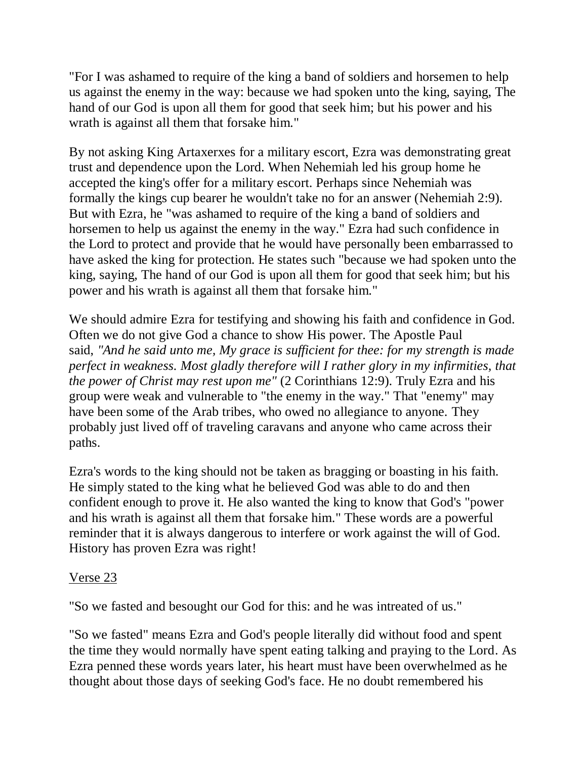"For I was ashamed to require of the king a band of soldiers and horsemen to help us against the enemy in the way: because we had spoken unto the king, saying, The hand of our God is upon all them for good that seek him; but his power and his wrath is against all them that forsake him."

By not asking King Artaxerxes for a military escort, Ezra was demonstrating great trust and dependence upon the Lord. When Nehemiah led his group home he accepted the king's offer for a military escort. Perhaps since Nehemiah was formally the kings cup bearer he wouldn't take no for an answer (Nehemiah 2:9). But with Ezra, he "was ashamed to require of the king a band of soldiers and horsemen to help us against the enemy in the way." Ezra had such confidence in the Lord to protect and provide that he would have personally been embarrassed to have asked the king for protection. He states such "because we had spoken unto the king, saying, The hand of our God is upon all them for good that seek him; but his power and his wrath is against all them that forsake him."

We should admire Ezra for testifying and showing his faith and confidence in God. Often we do not give God a chance to show His power. The Apostle Paul said, *"And he said unto me, My grace is sufficient for thee: for my strength is made perfect in weakness. Most gladly therefore will I rather glory in my infirmities, that the power of Christ may rest upon me"* (2 Corinthians 12:9). Truly Ezra and his group were weak and vulnerable to "the enemy in the way." That "enemy" may have been some of the Arab tribes, who owed no allegiance to anyone. They probably just lived off of traveling caravans and anyone who came across their paths.

Ezra's words to the king should not be taken as bragging or boasting in his faith. He simply stated to the king what he believed God was able to do and then confident enough to prove it. He also wanted the king to know that God's "power and his wrath is against all them that forsake him." These words are a powerful reminder that it is always dangerous to interfere or work against the will of God. History has proven Ezra was right!

## Verse 23

"So we fasted and besought our God for this: and he was intreated of us."

"So we fasted" means Ezra and God's people literally did without food and spent the time they would normally have spent eating talking and praying to the Lord. As Ezra penned these words years later, his heart must have been overwhelmed as he thought about those days of seeking God's face. He no doubt remembered his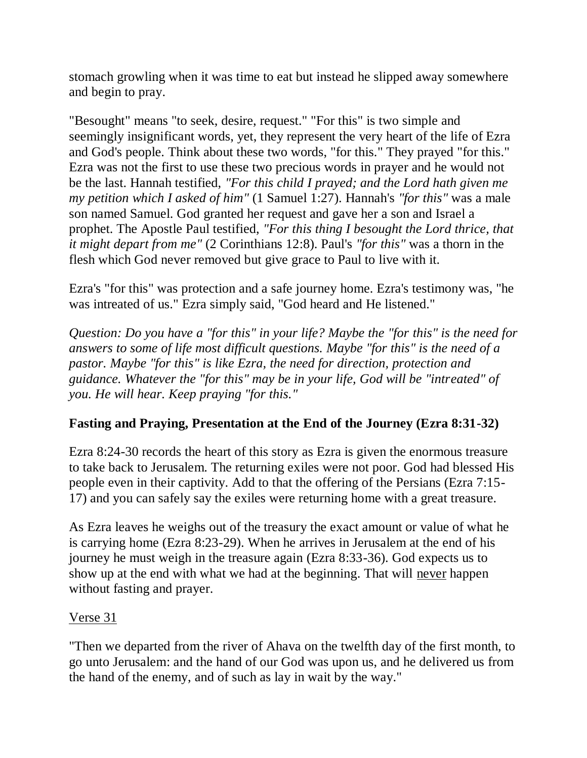stomach growling when it was time to eat but instead he slipped away somewhere and begin to pray.

"Besought" means "to seek, desire, request." "For this" is two simple and seemingly insignificant words, yet, they represent the very heart of the life of Ezra and God's people. Think about these two words, "for this." They prayed "for this." Ezra was not the first to use these two precious words in prayer and he would not be the last. Hannah testified, *"For this child I prayed; and the Lord hath given me my petition which I asked of him"* (1 Samuel 1:27). Hannah's *"for this"* was a male son named Samuel. God granted her request and gave her a son and Israel a prophet. The Apostle Paul testified, *"For this thing I besought the Lord thrice, that it might depart from me"* (2 Corinthians 12:8). Paul's *"for this"* was a thorn in the flesh which God never removed but give grace to Paul to live with it.

Ezra's "for this" was protection and a safe journey home. Ezra's testimony was, "he was intreated of us." Ezra simply said, "God heard and He listened."

*Question: Do you have a "for this" in your life? Maybe the "for this" is the need for answers to some of life most difficult questions. Maybe "for this" is the need of a pastor. Maybe "for this" is like Ezra, the need for direction, protection and guidance. Whatever the "for this" may be in your life, God will be "intreated" of you. He will hear. Keep praying "for this."*

## **Fasting and Praying, Presentation at the End of the Journey (Ezra 8:31-32)**

Ezra 8:24-30 records the heart of this story as Ezra is given the enormous treasure to take back to Jerusalem. The returning exiles were not poor. God had blessed His people even in their captivity. Add to that the offering of the Persians (Ezra 7:15- 17) and you can safely say the exiles were returning home with a great treasure.

As Ezra leaves he weighs out of the treasury the exact amount or value of what he is carrying home (Ezra 8:23-29). When he arrives in Jerusalem at the end of his journey he must weigh in the treasure again (Ezra 8:33-36). God expects us to show up at the end with what we had at the beginning. That will never happen without fasting and prayer.

## Verse 31

"Then we departed from the river of Ahava on the twelfth day of the first month, to go unto Jerusalem: and the hand of our God was upon us, and he delivered us from the hand of the enemy, and of such as lay in wait by the way."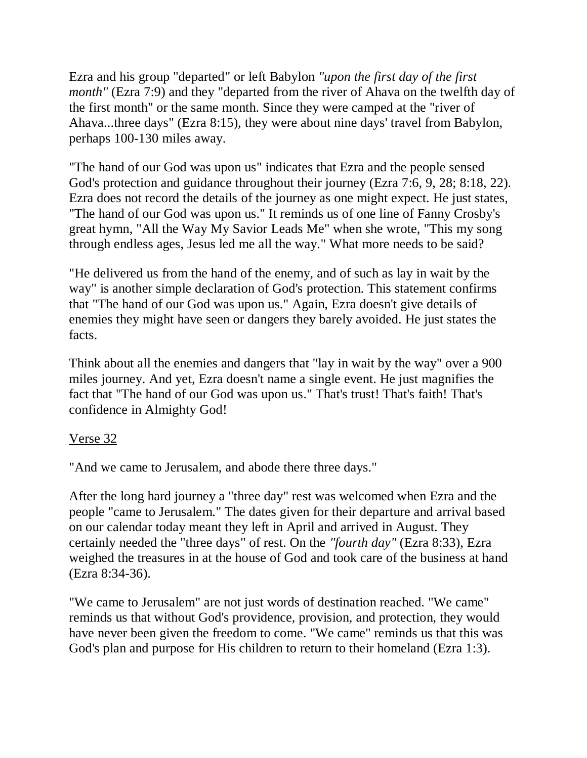Ezra and his group "departed" or left Babylon *"upon the first day of the first month"* (Ezra 7:9) and they "departed from the river of Ahava on the twelfth day of the first month" or the same month. Since they were camped at the "river of Ahava...three days" (Ezra 8:15), they were about nine days' travel from Babylon, perhaps 100-130 miles away.

"The hand of our God was upon us" indicates that Ezra and the people sensed God's protection and guidance throughout their journey (Ezra 7:6, 9, 28; 8:18, 22). Ezra does not record the details of the journey as one might expect. He just states, "The hand of our God was upon us." It reminds us of one line of Fanny Crosby's great hymn, "All the Way My Savior Leads Me" when she wrote, "This my song through endless ages, Jesus led me all the way." What more needs to be said?

"He delivered us from the hand of the enemy, and of such as lay in wait by the way" is another simple declaration of God's protection. This statement confirms that "The hand of our God was upon us." Again, Ezra doesn't give details of enemies they might have seen or dangers they barely avoided. He just states the facts.

Think about all the enemies and dangers that "lay in wait by the way" over a 900 miles journey. And yet, Ezra doesn't name a single event. He just magnifies the fact that "The hand of our God was upon us." That's trust! That's faith! That's confidence in Almighty God!

#### Verse 32

"And we came to Jerusalem, and abode there three days."

After the long hard journey a "three day" rest was welcomed when Ezra and the people "came to Jerusalem." The dates given for their departure and arrival based on our calendar today meant they left in April and arrived in August. They certainly needed the "three days" of rest. On the *"fourth day"* (Ezra 8:33), Ezra weighed the treasures in at the house of God and took care of the business at hand (Ezra 8:34-36).

"We came to Jerusalem" are not just words of destination reached. "We came" reminds us that without God's providence, provision, and protection, they would have never been given the freedom to come. "We came" reminds us that this was God's plan and purpose for His children to return to their homeland (Ezra 1:3).